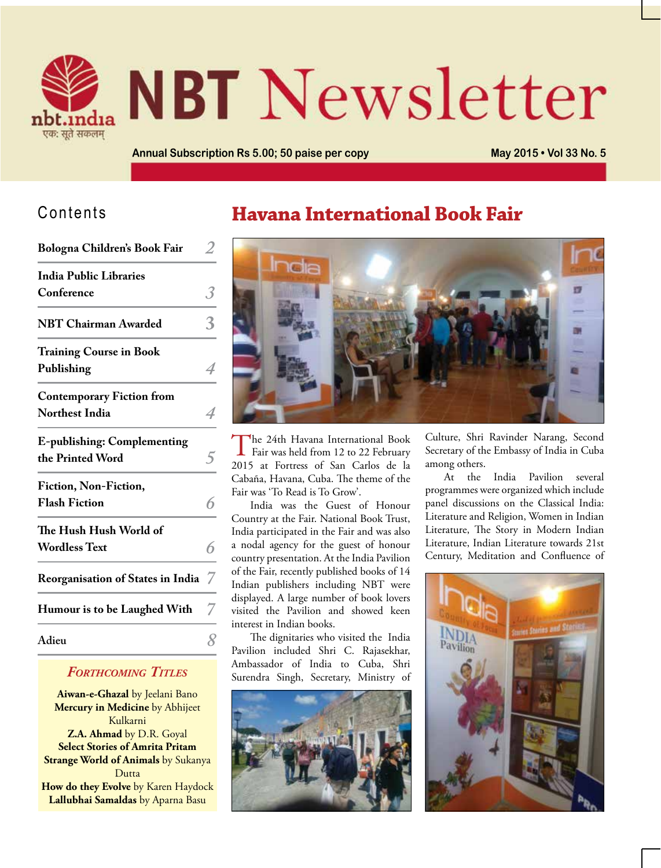

# **NBT** Newsletter

**Annual Subscription Rs 5.00; 50 paise per copy May 2015 • Vol 33 No. 5**

#### Contents

**Bologna Children's Book Fair** *2*

| <b>India Public Libraries</b><br>Conference<br><b>NBT Chairman Awarded</b><br><b>Training Course in Book</b><br>Publishing<br><b>Contemporary Fiction from</b><br><b>Northest India</b><br><b>E-publishing: Complementing</b><br>the Printed Word<br>Fiction, Non-Fiction,<br><b>Flash Fiction</b><br>The Hush Hush World of<br><b>Wordless Text</b><br><b>Reorganisation of States in India</b><br>Humour is to be Laughed With<br>Adieu | DOIOgna Uniidrens DOOK Fair | ∠ |
|-------------------------------------------------------------------------------------------------------------------------------------------------------------------------------------------------------------------------------------------------------------------------------------------------------------------------------------------------------------------------------------------------------------------------------------------|-----------------------------|---|
|                                                                                                                                                                                                                                                                                                                                                                                                                                           |                             |   |
|                                                                                                                                                                                                                                                                                                                                                                                                                                           |                             |   |
|                                                                                                                                                                                                                                                                                                                                                                                                                                           |                             |   |
|                                                                                                                                                                                                                                                                                                                                                                                                                                           |                             |   |
|                                                                                                                                                                                                                                                                                                                                                                                                                                           |                             | 4 |
|                                                                                                                                                                                                                                                                                                                                                                                                                                           |                             |   |
|                                                                                                                                                                                                                                                                                                                                                                                                                                           |                             | 4 |
|                                                                                                                                                                                                                                                                                                                                                                                                                                           |                             |   |
|                                                                                                                                                                                                                                                                                                                                                                                                                                           |                             |   |
|                                                                                                                                                                                                                                                                                                                                                                                                                                           |                             |   |
|                                                                                                                                                                                                                                                                                                                                                                                                                                           |                             |   |
|                                                                                                                                                                                                                                                                                                                                                                                                                                           |                             |   |
|                                                                                                                                                                                                                                                                                                                                                                                                                                           |                             | 6 |
|                                                                                                                                                                                                                                                                                                                                                                                                                                           |                             | 7 |
|                                                                                                                                                                                                                                                                                                                                                                                                                                           |                             |   |
|                                                                                                                                                                                                                                                                                                                                                                                                                                           |                             |   |

#### *Forthcoming Titles*

**Aiwan-e-Ghazal** by Jeelani Bano **Mercury in Medicine** by Abhijeet Kulkarni **Z.A. Ahmad** by D.R. Goyal **Select Stories of Amrita Pritam Strange World of Animals** by Sukanya Dutta **How do they Evolve** by Karen Haydock **Lallubhai Samaldas** by Aparna Basu

## **Havana International Book Fair**



The 24th Havana International Book Fair was held from 12 to 22 February 2015 at Fortress of San Carlos de la Cabaña, Havana, Cuba. The theme of the Fair was 'To Read is To Grow'.

India was the Guest of Honour Country at the Fair. National Book Trust, India participated in the Fair and was also a nodal agency for the guest of honour country presentation. At the India Pavilion of the Fair, recently published books of 14 Indian publishers including NBT were displayed. A large number of book lovers visited the Pavilion and showed keen interest in Indian books.

The dignitaries who visited the India Pavilion included Shri C. Rajasekhar, Ambassador of India to Cuba, Shri Surendra Singh, Secretary, Ministry of



Culture, Shri Ravinder Narang, Second Secretary of the Embassy of India in Cuba among others.

At the India Pavilion several programmes were organized which include panel discussions on the Classical India: Literature and Religion, Women in Indian Literature, The Story in Modern Indian Literature, Indian Literature towards 21st Century, Meditation and Confluence of

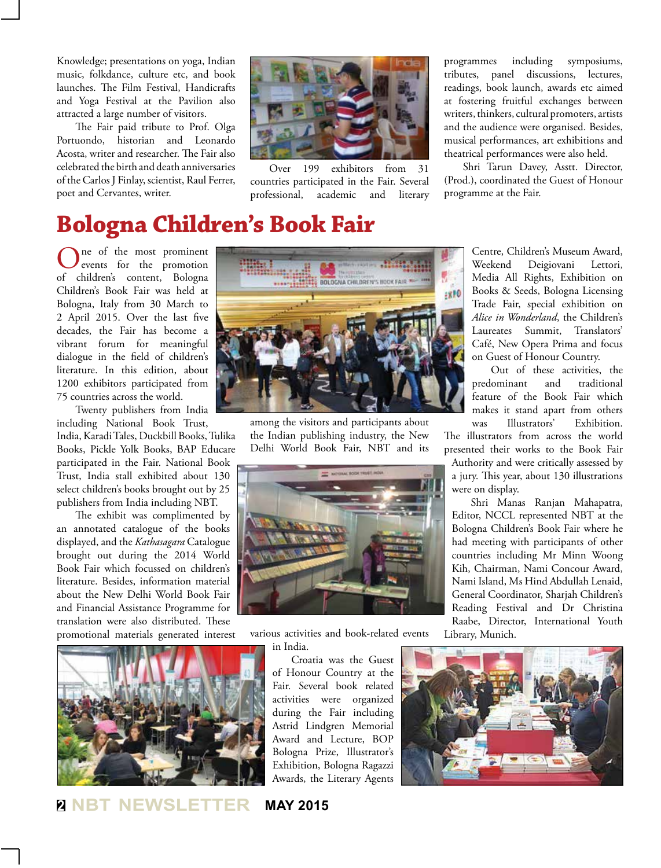Knowledge; presentations on yoga, Indian music, folkdance, culture etc, and book launches. The Film Festival, Handicrafts and Yoga Festival at the Pavilion also attracted a large number of visitors.

The Fair paid tribute to Prof. Olga Portuondo, historian and Leonardo Acosta, writer and researcher. The Fair also celebrated the birth and death anniversaries of the Carlos J Finlay, scientist, Raul Ferrer, poet and Cervantes, writer.



Over 199 exhibitors from 31 countries participated in the Fair. Several professional, academic and literary

programmes including symposiums, tributes, panel discussions, lectures, readings, book launch, awards etc aimed at fostering fruitful exchanges between writers, thinkers, cultural promoters, artists and the audience were organised. Besides, musical performances, art exhibitions and theatrical performances were also held.

Shri Tarun Davey, Asstt. Director, (Prod.), coordinated the Guest of Honour programme at the Fair.

# **Bologna Children's Book Fair**

One of the most prominent<br>
events for the promotion of children's content, Bologna Children's Book Fair was held at Bologna, Italy from 30 March to 2 April 2015. Over the last five decades, the Fair has become a vibrant forum for meaningful dialogue in the field of children's literature. In this edition, about 1200 exhibitors participated from 75 countries across the world.

Twenty publishers from India

including National Book Trust, India, Karadi Tales, Duckbill Books, Tulika Books, Pickle Yolk Books, BAP Educare participated in the Fair. National Book Trust, India stall exhibited about 130 select children's books brought out by 25 publishers from India including NBT.

The exhibit was complimented by an annotated catalogue of the books displayed, and the *Kathasagara* Catalogue brought out during the 2014 World Book Fair which focussed on children's literature. Besides, information material about the New Delhi World Book Fair and Financial Assistance Programme for translation were also distributed. These promotional materials generated interest



**BOLOGNA CHILDREN'S HOOK FAIR** :810

> among the visitors and participants about the Indian publishing industry, the New Delhi World Book Fair, NBT and its



various activities and book-related events in India.

> Croatia was the Guest of Honour Country at the Fair. Several book related activities were organized during the Fair including Astrid Lindgren Memorial Award and Lecture, BOP Bologna Prize, Illustrator's Exhibition, Bologna Ragazzi Awards, the Literary Agents

Centre, Children's Museum Award, Weekend Deigiovani Lettori, Media All Rights, Exhibition on Books & Seeds, Bologna Licensing Trade Fair, special exhibition on *Alice in Wonderland*, the Children's Laureates Summit, Translators' Café, New Opera Prima and focus on Guest of Honour Country.

Out of these activities, the predominant and traditional feature of the Book Fair which makes it stand apart from others was Illustrators' Exhibition.

The illustrators from across the world presented their works to the Book Fair

Authority and were critically assessed by a jury. This year, about 130 illustrations were on display.

Shri Manas Ranjan Mahapatra, Editor, NCCL represented NBT at the Bologna Children's Book Fair where he had meeting with participants of other countries including Mr Minn Woong Kih, Chairman, Nami Concour Award, Nami Island, Ms Hind Abdullah Lenaid, General Coordinator, Sharjah Children's Reading Festival and Dr Christina Raabe, Director, International Youth

Library, Munich.



**<sup>2</sup> NBT NEWSLETTER MAY 2015**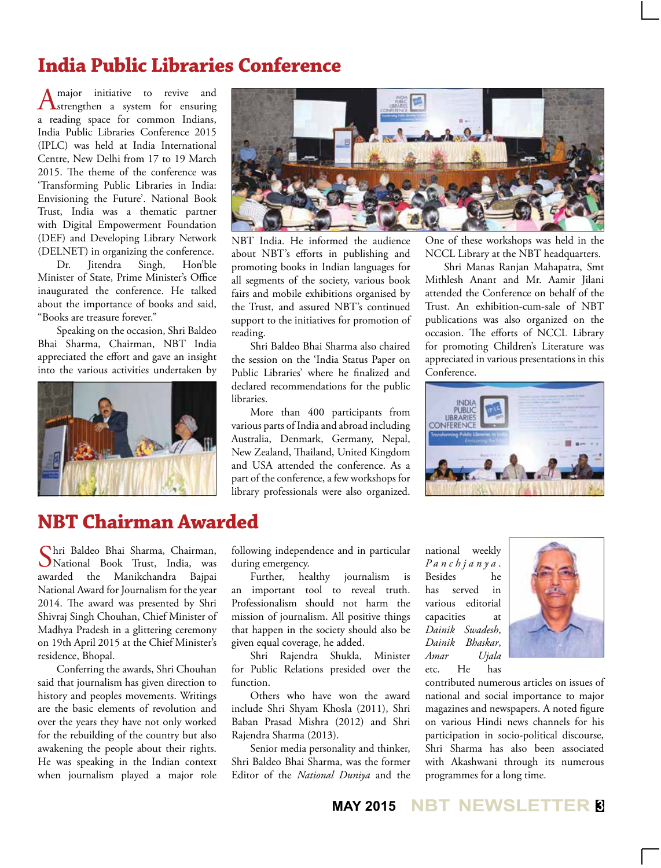#### **India Public Libraries Conference**

A major initiative to revive and<br>
Strengthen a system for ensuring a reading space for common Indians, India Public Libraries Conference 2015 (IPLC) was held at India International Centre, New Delhi from 17 to 19 March 2015. The theme of the conference was 'Transforming Public Libraries in India: Envisioning the Future'. National Book Trust, India was a thematic partner with Digital Empowerment Foundation (DEF) and Developing Library Network (DELNET) in organizing the conference.

Dr. Jitendra Singh, Hon'ble Minister of State, Prime Minister's Office inaugurated the conference. He talked about the importance of books and said, "Books are treasure forever."

Speaking on the occasion, Shri Baldeo Bhai Sharma, Chairman, NBT India appreciated the effort and gave an insight into the various activities undertaken by





NBT India. He informed the audience about NBT's efforts in publishing and promoting books in Indian languages for all segments of the society, various book fairs and mobile exhibitions organised by the Trust, and assured NBT's continued support to the initiatives for promotion of reading.

Shri Baldeo Bhai Sharma also chaired the session on the 'India Status Paper on Public Libraries' where he finalized and declared recommendations for the public libraries.

More than 400 participants from various parts of India and abroad including Australia, Denmark, Germany, Nepal, New Zealand, Thailand, United Kingdom and USA attended the conference. As a part of the conference, a few workshops for library professionals were also organized.

One of these workshops was held in the NCCL Library at the NBT headquarters.

Shri Manas Ranjan Mahapatra, Smt Mithlesh Anant and Mr. Aamir Jilani attended the Conference on behalf of the Trust. An exhibition-cum-sale of NBT publications was also organized on the occasion. The efforts of NCCL Library for promoting Children's Literature was appreciated in various presentations in this Conference.



#### **NBT Chairman Awarded**

Shri Baldeo Bhai Sharma, Chairman, National Book Trust, India, was awarded the Manikchandra Bajpai National Award for Journalism for the year 2014. The award was presented by Shri Shivraj Singh Chouhan, Chief Minister of Madhya Pradesh in a glittering ceremony on 19th April 2015 at the Chief Minister's residence, Bhopal.

Conferring the awards, Shri Chouhan said that journalism has given direction to history and peoples movements. Writings are the basic elements of revolution and over the years they have not only worked for the rebuilding of the country but also awakening the people about their rights. He was speaking in the Indian context when journalism played a major role following independence and in particular during emergency.

Further, healthy journalism is an important tool to reveal truth. Professionalism should not harm the mission of journalism. All positive things that happen in the society should also be given equal coverage, he added.

Shri Rajendra Shukla, Minister for Public Relations presided over the function.

Others who have won the award include Shri Shyam Khosla (2011), Shri Baban Prasad Mishra (2012) and Shri Rajendra Sharma (2013).

Senior media personality and thinker, Shri Baldeo Bhai Sharma, was the former Editor of the *National Duniya* and the national weekly *Panchjanya* . Besides he has served in various editorial capacities at *Dainik Swadesh*, *Dainik Bhaskar*, *Amar Ujala*  etc. He has



contributed numerous articles on issues of national and social importance to major magazines and newspapers. A noted figure on various Hindi news channels for his participation in socio-political discourse, Shri Sharma has also been associated with Akashwani through its numerous programmes for a long time.

**MAY 2015 NBT NEWSLETTER <sup>3</sup>**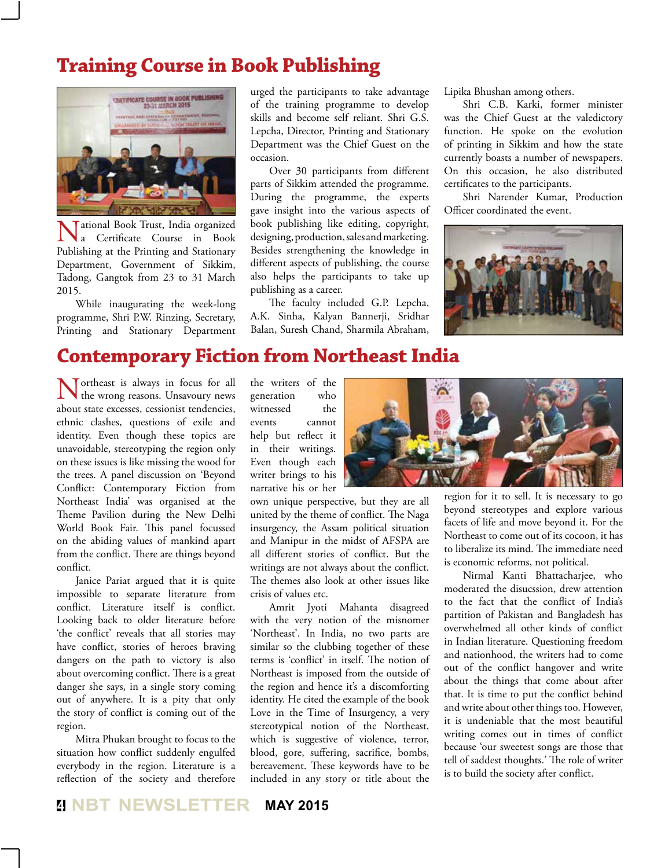#### **Training Course in Book Publishing**



**Tational Book Trust, India organized**<br>**A** Certificate Course in Book Certificate Course in Book Publishing at the Printing and Stationary Department, Government of Sikkim, Tadong, Gangtok from 23 to 31 March 2015.

While inaugurating the week-long programme, Shri P.W. Rinzing, Secretary, Printing and Stationary Department urged the participants to take advantage of the training programme to develop skills and become self reliant. Shri G.S. Lepcha, Director, Printing and Stationary Department was the Chief Guest on the occasion.

Over 30 participants from different parts of Sikkim attended the programme. During the programme, the experts gave insight into the various aspects of book publishing like editing, copyright, designing, production, sales and marketing. Besides strengthening the knowledge in different aspects of publishing, the course also helps the participants to take up publishing as a career.

The faculty included G.P. Lepcha, A.K. Sinha, Kalyan Bannerji, Sridhar Balan, Suresh Chand, Sharmila Abraham,

Lipika Bhushan among others.

Shri C.B. Karki, former minister was the Chief Guest at the valedictory function. He spoke on the evolution of printing in Sikkim and how the state currently boasts a number of newspapers. On this occasion, he also distributed certificates to the participants.

Shri Narender Kumar, Production Officer coordinated the event.



#### **Contemporary Fiction from Northeast India**

Northeast is always in focus for all the wrong reasons. Unsavoury news about state excesses, cessionist tendencies, ethnic clashes, questions of exile and identity. Even though these topics are unavoidable, stereotyping the region only on these issues is like missing the wood for the trees. A panel discussion on 'Beyond Conflict: Contemporary Fiction from Northeast India' was organised at the Theme Pavilion during the New Delhi World Book Fair. This panel focussed on the abiding values of mankind apart from the conflict. There are things beyond conflict.

Janice Pariat argued that it is quite impossible to separate literature from conflict. Literature itself is conflict. Looking back to older literature before 'the conflict' reveals that all stories may have conflict, stories of heroes braving dangers on the path to victory is also about overcoming conflict. There is a great danger she says, in a single story coming out of anywhere. It is a pity that only the story of conflict is coming out of the region.

Mitra Phukan brought to focus to the situation how conflict suddenly engulfed everybody in the region. Literature is a reflection of the society and therefore

the writers of the generation who witnessed the events cannot help but reflect it in their writings. Even though each writer brings to his narrative his or her

own unique perspective, but they are all united by the theme of conflict. The Naga insurgency, the Assam political situation and Manipur in the midst of AFSPA are all different stories of conflict. But the writings are not always about the conflict. The themes also look at other issues like crisis of values etc.

Amrit Jyoti Mahanta disagreed with the very notion of the misnomer 'Northeast'. In India, no two parts are similar so the clubbing together of these terms is 'conflict' in itself. The notion of Northeast is imposed from the outside of the region and hence it's a discomforting identity. He cited the example of the book Love in the Time of Insurgency, a very stereotypical notion of the Northeast, which is suggestive of violence, terror, blood, gore, suffering, sacrifice, bombs, bereavement. These keywords have to be included in any story or title about the



region for it to sell. It is necessary to go beyond stereotypes and explore various facets of life and move beyond it. For the Northeast to come out of its cocoon, it has to liberalize its mind. The immediate need is economic reforms, not political.

Nirmal Kanti Bhattacharjee, who moderated the disucssion, drew attention to the fact that the conflict of India's partition of Pakistan and Bangladesh has overwhelmed all other kinds of conflict in Indian literature. Questioning freedom and nationhood, the writers had to come out of the conflict hangover and write about the things that come about after that. It is time to put the conflict behind and write about other things too. However, it is undeniable that the most beautiful writing comes out in times of conflict because 'our sweetest songs are those that tell of saddest thoughts.' The role of writer is to build the society after conflict.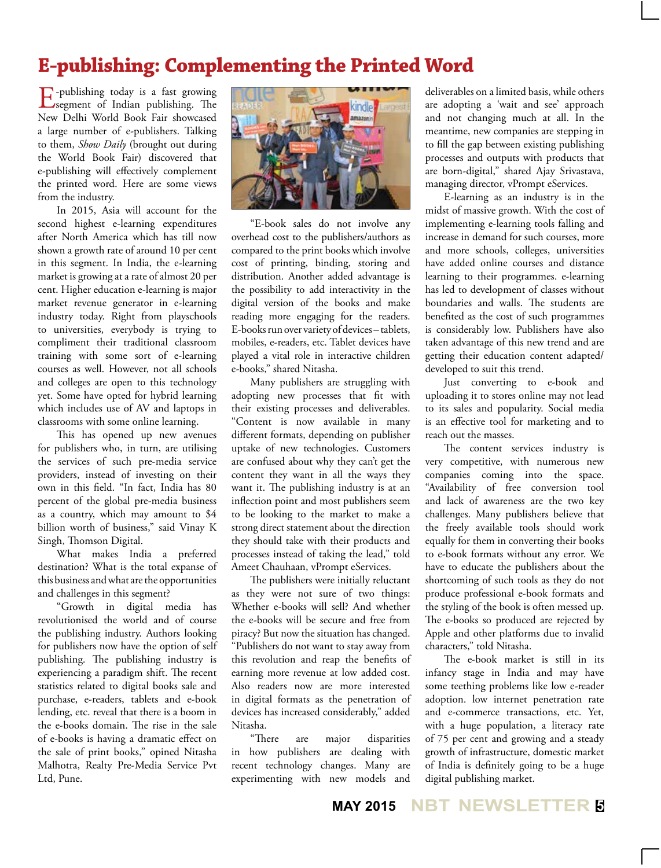### **E-publishing: Complementing the Printed Word**

 $E$ -publishing today is a fast growing<br>
segment of Indian publishing. The New Delhi World Book Fair showcased a large number of e-publishers. Talking to them, *Show Daily* (brought out during the World Book Fair) discovered that e-publishing will effectively complement the printed word. Here are some views from the industry.

In 2015, Asia will account for the second highest e-learning expenditures after North America which has till now shown a growth rate of around 10 per cent in this segment. In India, the e-learning market is growing at a rate of almost 20 per cent. Higher education e-learning is major market revenue generator in e-learning industry today. Right from playschools to universities, everybody is trying to compliment their traditional classroom training with some sort of e-learning courses as well. However, not all schools and colleges are open to this technology yet. Some have opted for hybrid learning which includes use of AV and laptops in classrooms with some online learning.

This has opened up new avenues for publishers who, in turn, are utilising the services of such pre-media service providers, instead of investing on their own in this field. "In fact, India has 80 percent of the global pre-media business as a country, which may amount to \$4 billion worth of business," said Vinay K Singh, Thomson Digital.

What makes India a preferred destination? What is the total expanse of this business and what are the opportunities and challenges in this segment?

"Growth in digital media has revolutionised the world and of course the publishing industry. Authors looking for publishers now have the option of self publishing. The publishing industry is experiencing a paradigm shift. The recent statistics related to digital books sale and purchase, e-readers, tablets and e-book lending, etc. reveal that there is a boom in the e-books domain. The rise in the sale of e-books is having a dramatic effect on the sale of print books," opined Nitasha Malhotra, Realty Pre-Media Service Pvt Ltd, Pune.



"E-book sales do not involve any overhead cost to the publishers/authors as compared to the print books which involve cost of printing, binding, storing and distribution. Another added advantage is the possibility to add interactivity in the digital version of the books and make reading more engaging for the readers. E-books run over variety of devices – tablets, mobiles, e-readers, etc. Tablet devices have played a vital role in interactive children e-books," shared Nitasha.

Many publishers are struggling with adopting new processes that fit with their existing processes and deliverables. "Content is now available in many different formats, depending on publisher uptake of new technologies. Customers are confused about why they can't get the content they want in all the ways they want it. The publishing industry is at an inflection point and most publishers seem to be looking to the market to make a strong direct statement about the direction they should take with their products and processes instead of taking the lead," told Ameet Chauhaan, vPrompt eServices.

The publishers were initially reluctant as they were not sure of two things: Whether e-books will sell? And whether the e-books will be secure and free from piracy? But now the situation has changed. "Publishers do not want to stay away from this revolution and reap the benefits of earning more revenue at low added cost. Also readers now are more interested in digital formats as the penetration of devices has increased considerably," added Nitasha.

"There are major disparities in how publishers are dealing with recent technology changes. Many are experimenting with new models and

deliverables on a limited basis, while others are adopting a 'wait and see' approach and not changing much at all. In the meantime, new companies are stepping in to fill the gap between existing publishing processes and outputs with products that are born-digital," shared Ajay Srivastava, managing director, vPrompt eServices.

E-learning as an industry is in the midst of massive growth. With the cost of implementing e-learning tools falling and increase in demand for such courses, more and more schools, colleges, universities have added online courses and distance learning to their programmes. e-learning has led to development of classes without boundaries and walls. The students are benefited as the cost of such programmes is considerably low. Publishers have also taken advantage of this new trend and are getting their education content adapted/ developed to suit this trend.

Just converting to e-book and uploading it to stores online may not lead to its sales and popularity. Social media is an effective tool for marketing and to reach out the masses.

The content services industry is very competitive, with numerous new companies coming into the space. "Availability of free conversion tool and lack of awareness are the two key challenges. Many publishers believe that the freely available tools should work equally for them in converting their books to e-book formats without any error. We have to educate the publishers about the shortcoming of such tools as they do not produce professional e-book formats and the styling of the book is often messed up. The e-books so produced are rejected by Apple and other platforms due to invalid characters," told Nitasha.

The e-book market is still in its infancy stage in India and may have some teething problems like low e-reader adoption. low internet penetration rate and e-commerce transactions, etc. Yet, with a huge population, a literacy rate of 75 per cent and growing and a steady growth of infrastructure, domestic market of India is definitely going to be a huge digital publishing market.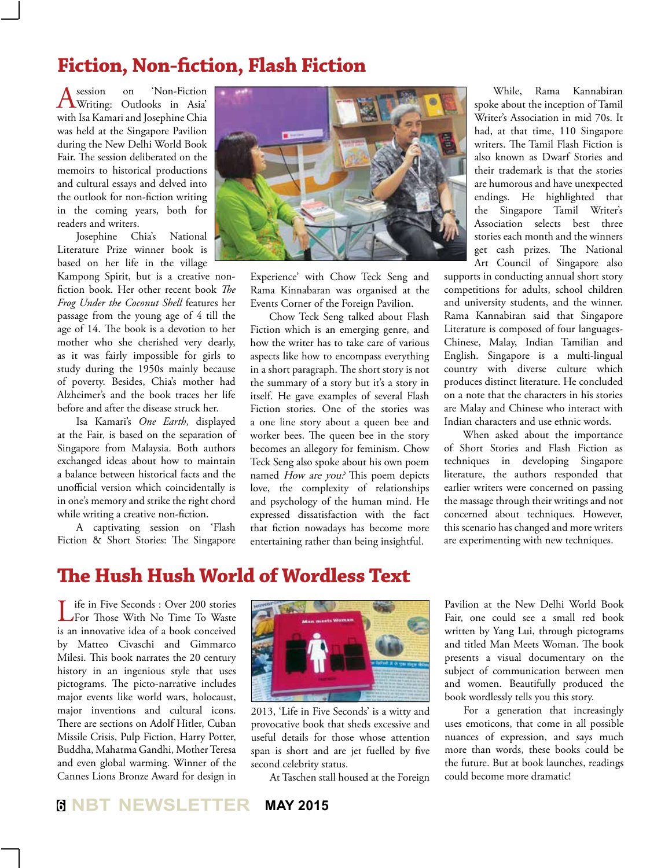#### **Fiction, Non-fiction, Flash Fiction**

A session on 'Non-Fiction<br>Writing: Outlooks in Asia'<br>Alberta Linds of Clares with Isa Kamari and Josephine Chia was held at the Singapore Pavilion during the New Delhi World Book Fair. The session deliberated on the memoirs to historical productions and cultural essays and delved into the outlook for non-fiction writing in the coming years, both for readers and writers.

Josephine Chia's National Literature Prize winner book is based on her life in the village

Kampong Spirit, but is a creative nonfiction book. Her other recent book *The Frog Under the Coconut Shell* features her passage from the young age of 4 till the age of 14. The book is a devotion to her mother who she cherished very dearly, as it was fairly impossible for girls to study during the 1950s mainly because of poverty. Besides, Chia's mother had Alzheimer's and the book traces her life before and after the disease struck her.

Isa Kamari's *One Earth*, displayed at the Fair, is based on the separation of Singapore from Malaysia. Both authors exchanged ideas about how to maintain a balance between historical facts and the unofficial version which coincidentally is in one's memory and strike the right chord while writing a creative non-fiction.

A captivating session on 'Flash Fiction & Short Stories: The Singapore



Experience' with Chow Teck Seng and Rama Kinnabaran was organised at the Events Corner of the Foreign Pavilion.

Chow Teck Seng talked about Flash Fiction which is an emerging genre, and how the writer has to take care of various aspects like how to encompass everything in a short paragraph. The short story is not the summary of a story but it's a story in itself. He gave examples of several Flash Fiction stories. One of the stories was a one line story about a queen bee and worker bees. The queen bee in the story becomes an allegory for feminism. Chow Teck Seng also spoke about his own poem named How are you? This poem depicts love, the complexity of relationships and psychology of the human mind. He expressed dissatisfaction with the fact that fiction nowadays has become more entertaining rather than being insightful.

While, Rama Kannabiran spoke about the inception of Tamil Writer's Association in mid 70s. It had, at that time, 110 Singapore writers. The Tamil Flash Fiction is also known as Dwarf Stories and their trademark is that the stories are humorous and have unexpected endings. He highlighted that the Singapore Tamil Writer's Association selects best three stories each month and the winners get cash prizes. The National Art Council of Singapore also

supports in conducting annual short story competitions for adults, school children and university students, and the winner. Rama Kannabiran said that Singapore Literature is composed of four languages-Chinese, Malay, Indian Tamilian and English. Singapore is a multi-lingual country with diverse culture which produces distinct literature. He concluded on a note that the characters in his stories are Malay and Chinese who interact with Indian characters and use ethnic words.

When asked about the importance of Short Stories and Flash Fiction as techniques in developing Singapore literature, the authors responded that earlier writers were concerned on passing the massage through their writings and not concerned about techniques. However, this scenario has changed and more writers are experimenting with new techniques.

#### **The Hush Hush World of Wordless Text**

Life in Five Seconds : Over 200 stories For Those With No Time To Waste is an innovative idea of a book conceived by Matteo Civaschi and Gimmarco Milesi. This book narrates the 20 century history in an ingenious style that uses pictograms. The picto-narrative includes major events like world wars, holocaust, major inventions and cultural icons. There are sections on Adolf Hitler, Cuban Missile Crisis, Pulp Fiction, Harry Potter, Buddha, Mahatma Gandhi, Mother Teresa and even global warming. Winner of the Cannes Lions Bronze Award for design in



2013, 'Life in Five Seconds' is a witty and provocative book that sheds excessive and useful details for those whose attention span is short and are jet fuelled by five second celebrity status.

At Taschen stall housed at the Foreign

Pavilion at the New Delhi World Book Fair, one could see a small red book written by Yang Lui, through pictograms and titled Man Meets Woman. The book presents a visual documentary on the subject of communication between men and women. Beautifully produced the book wordlessly tells you this story.

For a generation that increasingly uses emoticons, that come in all possible nuances of expression, and says much more than words, these books could be the future. But at book launches, readings could become more dramatic!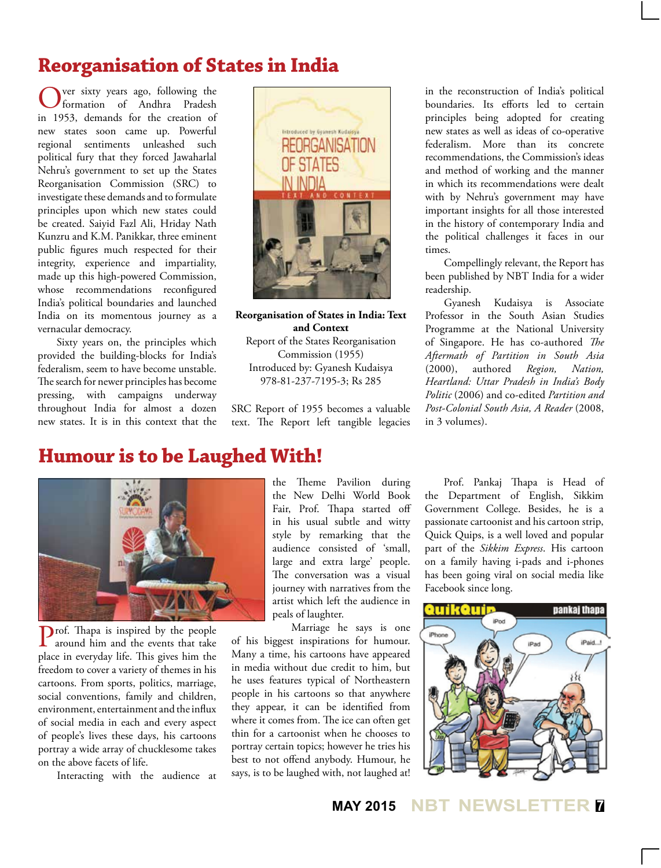#### **Reorganisation of States in India**

ver sixty years ago, following the formation of Andhra Pradesh in 1953, demands for the creation of new states soon came up. Powerful regional sentiments unleashed such political fury that they forced Jawaharlal Nehru's government to set up the States Reorganisation Commission (SRC) to investigate these demands and to formulate principles upon which new states could be created. Saiyid Fazl Ali, Hriday Nath Kunzru and K.M. Panikkar, three eminent public figures much respected for their integrity, experience and impartiality, made up this high-powered Commission, whose recommendations reconfigured India's political boundaries and launched India on its momentous journey as a vernacular democracy.

Sixty years on, the principles which provided the building-blocks for India's federalism, seem to have become unstable. The search for newer principles has become pressing, with campaigns underway throughout India for almost a dozen new states. It is in this context that the



**Reorganisation of States in India: Text and Context** Report of the States Reorganisation Commission (1955) Introduced by: Gyanesh Kudaisya 978-81-237-7195-3; Rs 285

SRC Report of 1955 becomes a valuable text. The Report left tangible legacies

in the reconstruction of India's political boundaries. Its efforts led to certain principles being adopted for creating new states as well as ideas of co-operative federalism. More than its concrete recommendations, the Commission's ideas and method of working and the manner in which its recommendations were dealt with by Nehru's government may have important insights for all those interested in the history of contemporary India and the political challenges it faces in our times.

Compellingly relevant, the Report has been published by NBT India for a wider readership.

Gyanesh Kudaisya is Associate Professor in the South Asian Studies Programme at the National University of Singapore. He has co-authored *The Aftermath of Partition in South Asia*  (2000), authored *Region, Nation, Heartland: Uttar Pradesh in India's Body Politic* (2006) and co-edited *Partition and Post-Colonial South Asia, A Reader* (2008, in 3 volumes).

#### **Humour is to be Laughed With!**



Prof. Thapa is inspired by the people around him and the events that take place in everyday life. This gives him the freedom to cover a variety of themes in his cartoons. From sports, politics, marriage, social conventions, family and children, environment, entertainment and the influx of social media in each and every aspect of people's lives these days, his cartoons portray a wide array of chucklesome takes on the above facets of life.

Interacting with the audience at

the Theme Pavilion during the New Delhi World Book Fair, Prof. Thapa started off in his usual subtle and witty style by remarking that the audience consisted of 'small, large and extra large' people. The conversation was a visual journey with narratives from the artist which left the audience in peals of laughter.

Marriage he says is one of his biggest inspirations for humour. Many a time, his cartoons have appeared in media without due credit to him, but he uses features typical of Northeastern people in his cartoons so that anywhere they appear, it can be identified from where it comes from. The ice can often get thin for a cartoonist when he chooses to portray certain topics; however he tries his best to not offend anybody. Humour, he says, is to be laughed with, not laughed at!

Prof. Pankaj Thapa is Head of the Department of English, Sikkim Government College. Besides, he is a passionate cartoonist and his cartoon strip, Quick Quips, is a well loved and popular part of the *Sikkim Express*. His cartoon on a family having i-pads and i-phones has been going viral on social media like Facebook since long.